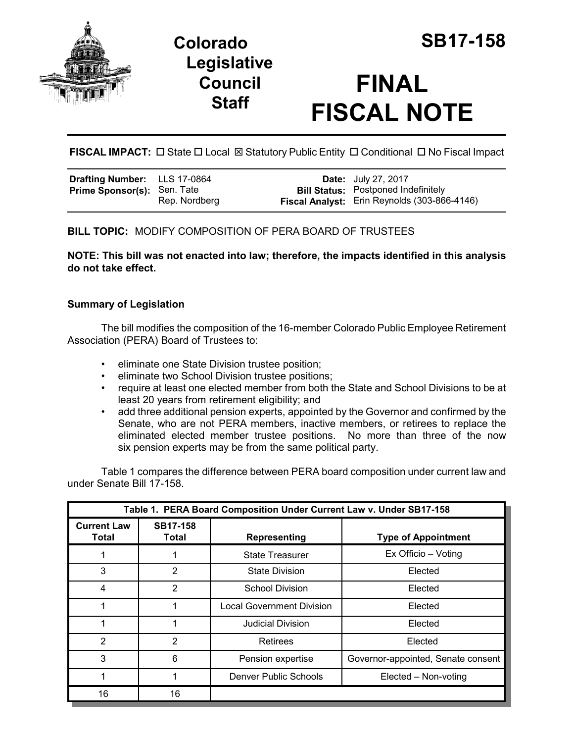

**Colorado SB17-158 Legislative Council Staff**

# **FINAL FISCAL NOTE**

**FISCAL IMPACT:** □ State □ Local ⊠ Statutory Public Entity □ Conditional □ No Fiscal Impact

| Drafting Number: LLS 17-0864       |               | <b>Date:</b> July 27, 2017                   |
|------------------------------------|---------------|----------------------------------------------|
| <b>Prime Sponsor(s):</b> Sen. Tate |               | <b>Bill Status:</b> Postponed Indefinitely   |
|                                    | Rep. Nordberg | Fiscal Analyst: Erin Reynolds (303-866-4146) |

# **BILL TOPIC:** MODIFY COMPOSITION OF PERA BOARD OF TRUSTEES

**NOTE: This bill was not enacted into law; therefore, the impacts identified in this analysis do not take effect.** 

## **Summary of Legislation**

The bill modifies the composition of the 16-member Colorado Public Employee Retirement Association (PERA) Board of Trustees to:

- eliminate one State Division trustee position;
- eliminate two School Division trustee positions;
- require at least one elected member from both the State and School Divisions to be at least 20 years from retirement eligibility; and
- add three additional pension experts, appointed by the Governor and confirmed by the Senate, who are not PERA members, inactive members, or retirees to replace the eliminated elected member trustee positions. No more than three of the now six pension experts may be from the same political party.

Table 1 compares the difference between PERA board composition under current law and under Senate Bill 17-158.

| Table 1. PERA Board Composition Under Current Law v. Under SB17-158 |                          |                                  |                                    |  |
|---------------------------------------------------------------------|--------------------------|----------------------------------|------------------------------------|--|
| <b>Current Law</b><br>Total                                         | <b>SB17-158</b><br>Total | <b>Representing</b>              | <b>Type of Appointment</b>         |  |
|                                                                     |                          | <b>State Treasurer</b>           | Ex Officio - Voting                |  |
| 3                                                                   | 2                        | <b>State Division</b>            | Elected                            |  |
| 4                                                                   | 2                        | <b>School Division</b>           | Elected                            |  |
|                                                                     |                          | <b>Local Government Division</b> | Elected                            |  |
|                                                                     |                          | <b>Judicial Division</b>         | Elected                            |  |
| 2                                                                   | 2                        | Retirees                         | Elected                            |  |
| 3                                                                   | 6                        | Pension expertise                | Governor-appointed, Senate consent |  |
|                                                                     |                          | Denver Public Schools            | Elected - Non-voting               |  |
| 16                                                                  | 16                       |                                  |                                    |  |